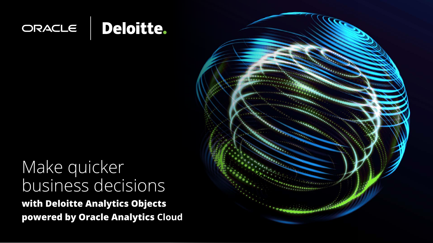

## Make quicker business decisions **with Deloitte Analytics Objects powered by Oracle Analytics Cloud**

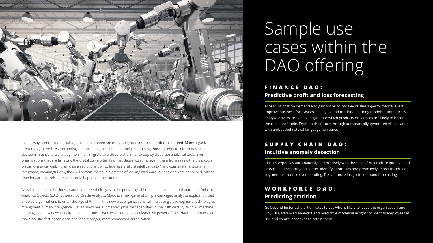

In an always-connected digital age, companies need smarter, integrated insights in order to succeed. Many organizations are turning to the latest technologies—including the cloud—for help in attaining those insights to inform business decisions. But it's rarely enough to simply migrate to a cloud platform or to deploy disparate analytical tools. Even organizations that are far along the digital curve often find that data silos still prevent them from seeing the big picture on performance. And, if their chosen solutions do not leverage artificial intelligence (AI) and cognitive analytics in an integrated, meaningful way, they will remain locked in a pattern of looking backward to consider what happened, rather than forward to anticipate what could happen in the future.

# Sample use cases within the DAO offering

## S U P P L Y C H A I N D A O : **Intuitive anomaly detection**

Now is the time for business leaders to open their eyes to the possibility of human and machine collaboration. Deloitte Analytics Objects (DAO) powered by Oracle Analytics Cloud is a next-generation, pre-packaged analytics application that enables organizations to enter the Age of With. In this new era, organizations will increasingly use cognitive technologies to augment human intelligence, just as machines augmented physical capabilities in the 20th century. With AI, machine learning, and advanced visualization capabilities, DAO helps companies unleash the power of their data, so humans can make holistic, fact-based decisions for a stronger, more-connected organization.

## **F I N A N C E D A O : Predictive profit and loss forecasting**

Access insights on demand and gain visibility into key business-performance levers. Improve business-forecast credibility: AI and machine-learning models automatically analyze drivers, providing insight into which products or services are likely to become the most profitable. Envision the future through automatically-generated visualizations with embedded natural-language narratives.

Classify expenses automatically and precisely with the help of AI. Produce intuitive and streamlined reporting on spend. Identify anomalies and proactively detect fraudulent payments to reduce overspending. Deliver more insightful demand forecasting.

## **W O R K F O R C E D A O : Predicting attrition**

Go beyond historical attrition rates to see who is likely to leave the organization and why. Use advanced analytics and predictive modeling insights to identify employees at risk and create incentives to retain them.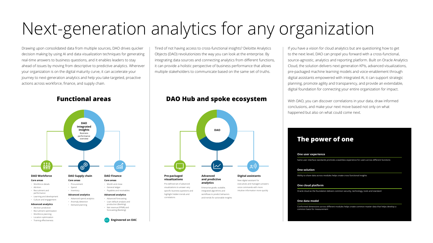# Next-generation analytics for any organization

Drawing upon consolidated data from multiple sources, DAO drives quicker decision making by using AI and data visualization techniques for generating real-time answers to business questions, and it enables leaders to stay ahead of issues by moving from descriptive to predictive analytics. Wherever your organization is on the digital maturity curve, it can accelerate your journey to next-generation analytics and help you take targeted, proactive actions across workforce, finance, and supply chain.

Tired of not having access to cross-functional insights? Deloitte Analytics Objects (DAO) revolutionizes the way you can look at the enterprise. By integrating data sources and connecting analytics from different functions, it can provide a holistic perspective of business performance that allows multiple stakeholders to communicate based on the same set of truths.

- Attrition prediction
- Recruitment optimization
- Workforce planning
- Location optimization
- Training effectiveness
- Demand planning

If you have a vision for cloud analytics but are questioning how to get to the next level, DAO can propel you forward with a cross-functional, source-agnostic, analytics and reporting platform. Built on Oracle Analytics Cloud, the solution delivers next-generation KPIs, advanced visualizations, pre-packaged machine learning models and voice-enablement through digital assistants empowered with integrated AI, it can support strategic planning, promote agility and transparency, and provide an extendable, digital foundation for connecting your entire organization for impact.

With DAO, you can discover correlations in your data, draw informed conclusions, and make your next move based not only on what happened but also on what could come next.

## **The power of one**

### **One user experience**

Same user interface standards promote a seamless experience for users across different functions

### **One solution**

Ability to share data across modules helps create cross functional insights

### **One cloud platform**

Oracle cloud as the foundation delivers common security, technology, tools and standard

### **One data model**

Conformed dimensions across different modules helps create common master data that helps develop a common basis for measurement



• Net revenue (PPNR) and forecasting (Banking)

**Engineered on OAC**

## **Functional areas DAO Hub and spoke ecosystem**

#### **Pre-packaged visualizations**

Pre-defined set of advanced visualizations to answer very specific business questions and highlight hidden trends and correlations

### **and predictive analytics**

Enterprise grade, scalable, integrated algorithms and workflows to predict behaviors and trends for actionable insights



New digital assistant for executives and managers answers voice commands with more intuitive information more quickly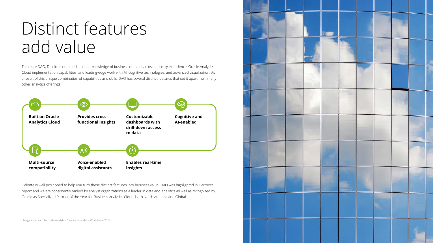# Distinct features add value

To create DAO, Deloitte combined its deep knowledge of business domains, cross-industry experience, Oracle Analytics Cloud implementation capabilities, and leading-edge work with AI, cognitive technologies, and advanced visualization. As a result of this unique combination of capabilities and skills, DAO has several distinct features that set it apart from many other analytics offerings:

Deloitte is well positioned to help you turn these distinct features into business value. DAO was highlighted in Gartner's <sup>1</sup> report and we are consistently ranked by analyst organizations as a leader in data and analytics as well as recognized by Oracle as Specialized Partner of the Year for Business Analytics Cloud, both North America and Global.

<sup>1</sup> Magic Quadrant for Data Analytics Service Providers, Worldwide 2019